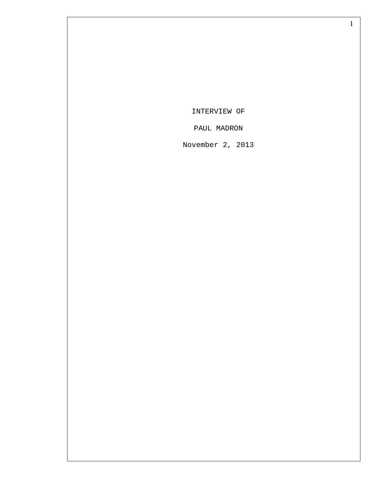INTERVIEW OF

PAUL MADRON

November 2, 2013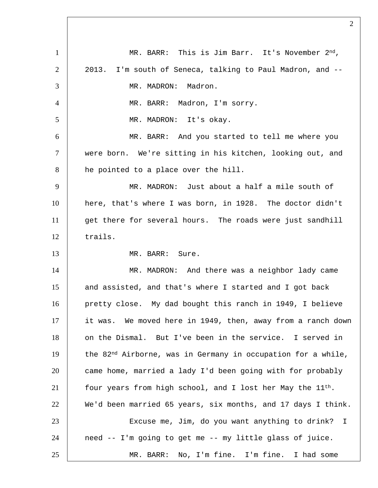1 MR. BARR: This is Jim Barr. It's November 2<sup>nd</sup>, 2 2013. I'm south of Seneca, talking to Paul Madron, and --3 MR. MADRON: Madron. 4 MR. BARR: Madron, I'm sorry. 5 MR. MADRON: It's okay. 6 MR. BARR: And you started to tell me where you 7 were born. We're sitting in his kitchen, looking out, and 8 he pointed to a place over the hill. 9 MR. MADRON: Just about a half a mile south of 10 here, that's where I was born, in 1928. The doctor didn't 11 | get there for several hours. The roads were just sandhill 12 trails. 13 MR. BARR: Sure. 14 | MR. MADRON: And there was a neighbor lady came 15 and assisted, and that's where I started and I got back 16 | pretty close. My dad bought this ranch in 1949, I believe 17 it was. We moved here in 1949, then, away from a ranch down 18 | on the Dismal. But I've been in the service. I served in 19 | the  $82<sup>nd</sup>$  Airborne, was in Germany in occupation for a while, 20 came home, married a lady I'd been going with for probably 21 four years from high school, and I lost her May the  $11^{th}$ . 22 We'd been married 65 years, six months, and 17 days I think. 23 Excuse me, Jim, do you want anything to drink? I 24 need -- I'm going to get me -- my little glass of juice. 25 MR. BARR: No, I'm fine. I'm fine. I had some

 $\mathfrak{D}$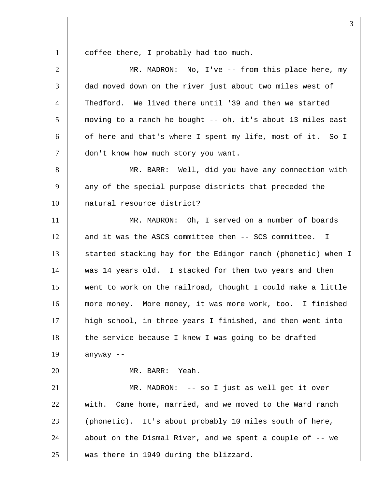1 coffee there, I probably had too much.

| $\overline{2}$ | MR. MADRON: No, I've -- from this place here, my             |
|----------------|--------------------------------------------------------------|
| 3              | dad moved down on the river just about two miles west of     |
| 4              | Thedford. We lived there until '39 and then we started       |
| 5              | moving to a ranch he bought -- oh, it's about 13 miles east  |
| 6              | of here and that's where I spent my life, most of it. So I   |
| $\tau$         | don't know how much story you want.                          |
| 8              | MR. BARR: Well, did you have any connection with             |
| 9              | any of the special purpose districts that preceded the       |
| 10             | natural resource district?                                   |
| 11             | MR. MADRON: Oh, I served on a number of boards               |
| 12             | and it was the ASCS committee then -- SCS committee. I       |
| 13             | started stacking hay for the Edingor ranch (phonetic) when I |
| 14             | was 14 years old. I stacked for them two years and then      |
| 15             | went to work on the railroad, thought I could make a little  |
| 16             | more money. More money, it was more work, too. I finished    |
| 17             | high school, in three years I finished, and then went into   |
| 18             | the service because I knew I was going to be drafted         |
| 19             | anyway --                                                    |
| 20             | MR. BARR: Yeah.                                              |
| 21             | MR. MADRON: -- so I just as well get it over                 |
| 22             | with. Came home, married, and we moved to the Ward ranch     |
| 23             | (phonetic). It's about probably 10 miles south of here,      |
| 24             | about on the Dismal River, and we spent a couple of -- we    |
| 25             | was there in 1949 during the blizzard.                       |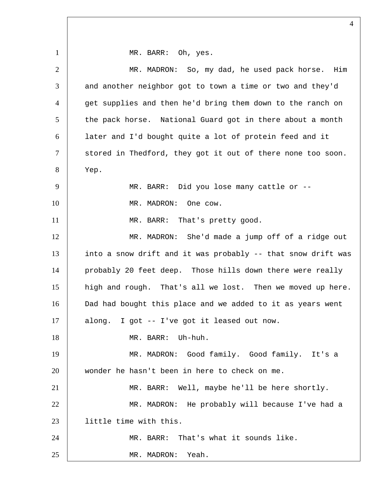1 | MR. BARR: Oh, yes. 2 MR. MADRON: So, my dad, he used pack horse. Him  $3$  and another neighbor got to town a time or two and they'd 4 get supplies and then he'd bring them down to the ranch on 5 the pack horse. National Guard got in there about a month 6 later and I'd bought quite a lot of protein feed and it 7 | stored in Thedford, they got it out of there none too soon. 8 Yep. 9 | MR. BARR: Did you lose many cattle or --10 MR. MADRON: One cow. 11 | MR. BARR: That's pretty good. 12 | MR. MADRON: She'd made a jump off of a ridge out 13 into a snow drift and it was probably -- that snow drift was 14 | probably 20 feet deep. Those hills down there were really 15 high and rough. That's all we lost. Then we moved up here. 16 Dad had bought this place and we added to it as years went 17 along. I got -- I've got it leased out now. 18 MR. BARR: Uh-huh. 19 MR. MADRON: Good family. Good family. It's a 20 wonder he hasn't been in here to check on me. 21 | MR. BARR: Well, maybe he'll be here shortly. 22 MR. MADRON: He probably will because I've had a 23 little time with this. 24 MR. BARR: That's what it sounds like. 25 MR. MADRON: Yeah.

 $\Delta$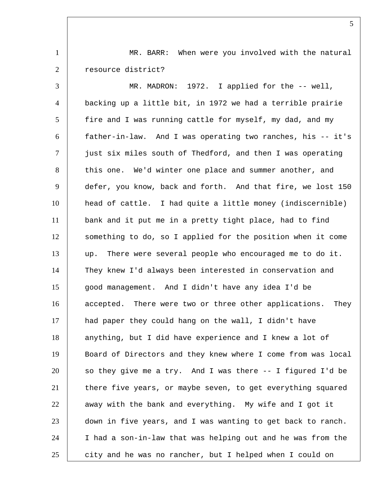1 | MR. BARR: When were you involved with the natural 2 | resource district?

 MR. MADRON: 1972. I applied for the -- well, backing up a little bit, in 1972 we had a terrible prairie fire and I was running cattle for myself, my dad, and my father-in-law. And I was operating two ranches, his -- it's  $\vert$  just six miles south of Thedford, and then I was operating 8 this one. We'd winter one place and summer another, and defer, you know, back and forth. And that fire, we lost 150 head of cattle. I had quite a little money (indiscernible) bank and it put me in a pretty tight place, had to find something to do, so I applied for the position when it come up. There were several people who encouraged me to do it. They knew I'd always been interested in conservation and good management. And I didn't have any idea I'd be 16 accepted. There were two or three other applications. They had paper they could hang on the wall, I didn't have anything, but I did have experience and I knew a lot of Board of Directors and they knew where I come from was local so they give me a try. And I was there  $-$ - I figured I'd be 21 there five years, or maybe seven, to get everything squared away with the bank and everything. My wife and I got it down in five years, and I was wanting to get back to ranch. I had a son-in-law that was helping out and he was from the 25 city and he was no rancher, but I helped when I could on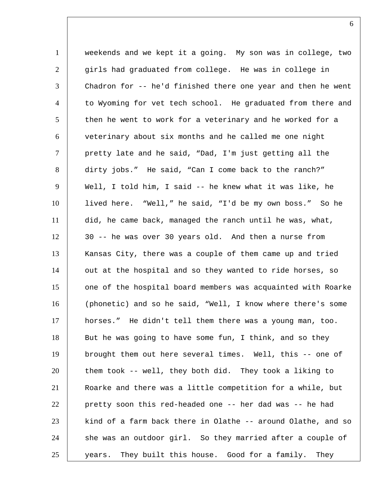1 weekends and we kept it a going. My son was in college, two 2 girls had graduated from college. He was in college in 3 Chadron for -- he'd finished there one year and then he went 4 to Wyoming for vet tech school. He graduated from there and 5 then he went to work for a veterinary and he worked for a 6 veterinary about six months and he called me one night  $7$   $\vert$  pretty late and he said, "Dad, I'm just getting all the 8 dirty jobs." He said, "Can I come back to the ranch?" 9 | Well, I told him, I said -- he knew what it was like, he 10 lived here. "Well," he said, "I'd be my own boss." So he 11 did, he came back, managed the ranch until he was, what, 12 30 -- he was over 30 years old. And then a nurse from 13 Kansas City, there was a couple of them came up and tried 14 | out at the hospital and so they wanted to ride horses, so 15 one of the hospital board members was acquainted with Roarke 16 (phonetic) and so he said, "Well, I know where there's some 17 horses." He didn't tell them there was a young man, too. 18 But he was going to have some fun, I think, and so they 19 brought them out here several times. Well, this -- one of 20 them took -- well, they both did. They took a liking to 21 Roarke and there was a little competition for a while, but 22 pretty soon this red-headed one -- her dad was -- he had  $23$  kind of a farm back there in Olathe -- around Olathe, and so 24 she was an outdoor girl. So they married after a couple of 25 years. They built this house. Good for a family. They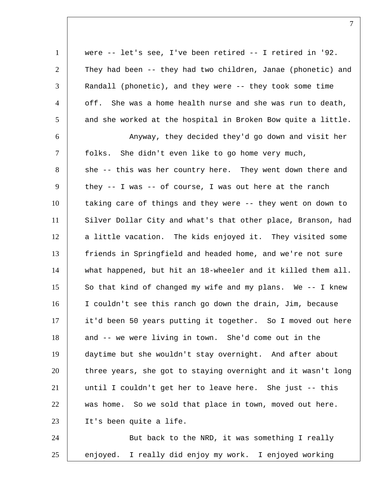| $\mathbf{1}$   | were $--$ let's see, I've been retired $--$ I retired in '92. |
|----------------|---------------------------------------------------------------|
| $\overline{2}$ | They had been -- they had two children, Janae (phonetic) and  |
| 3              | Randall (phonetic), and they were -- they took some time      |
| $\overline{4}$ | off. She was a home health nurse and she was run to death,    |
| 5              | and she worked at the hospital in Broken Bow quite a little.  |
| 6              | Anyway, they decided they'd go down and visit her             |
| $\tau$         | folks.<br>She didn't even like to go home very much,          |
| 8              | she -- this was her country here. They went down there and    |
| 9              | they $--$ I was $--$ of course, I was out here at the ranch   |
| 10             | taking care of things and they were -- they went on down to   |
| 11             | Silver Dollar City and what's that other place, Branson, had  |
| 12             | a little vacation. The kids enjoyed it. They visited some     |
| 13             | friends in Springfield and headed home, and we're not sure    |
| 14             | what happened, but hit an 18-wheeler and it killed them all.  |
| 15             | So that kind of changed my wife and my plans. We -- I knew    |
| 16             | I couldn't see this ranch go down the drain, Jim, because     |
| 17             | it'd been 50 years putting it together. So I moved out here   |
| 18             | and -- we were living in town. She'd come out in the          |
| 19             | daytime but she wouldn't stay overnight. And after about      |
| 20             | three years, she got to staying overnight and it wasn't long  |
| 21             | until I couldn't get her to leave here. She just -- this      |
| 22             | was home. So we sold that place in town, moved out here.      |
| 23             | It's been quite a life.                                       |
| 24             | But back to the NRD, it was something I really                |

25 enjoyed. I really did enjoy my work. I enjoyed working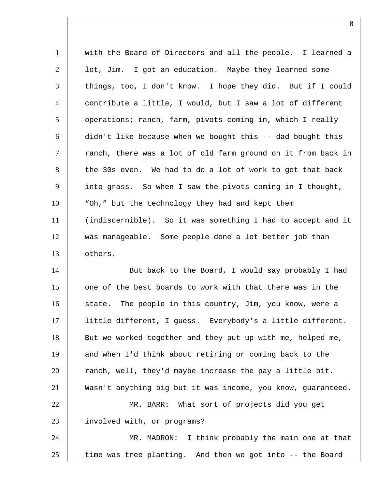1 with the Board of Directors and all the people. I learned a 2 | lot, Jim. I got an education. Maybe they learned some 3 things, too, I don't know. I hope they did. But if I could 4 contribute a little, I would, but I saw a lot of different 5 | operations; ranch, farm, pivots coming in, which I really 6 didn't like because when we bought this -- dad bought this  $7$   $\vert$  ranch, there was a lot of old farm ground on it from back in 8 the 30s even. We had to do a lot of work to get that back 9 into grass. So when I saw the pivots coming in I thought, 10 | "Oh," but the technology they had and kept them 11 (indiscernible). So it was something I had to accept and it 12 was manageable. Some people done a lot better job than 13 others. 14 | But back to the Board, I would say probably I had 15 one of the best boards to work with that there was in the 16 state. The people in this country, Jim, you know, were a 17 little different, I guess. Everybody's a little different. 18 But we worked together and they put up with me, helped me, 19 and when I'd think about retiring or coming back to the 20 ranch, well, they'd maybe increase the pay a little bit. 21 Wasn't anything big but it was income, you know, guaranteed. 22 MR. BARR: What sort of projects did you get 23 | involved with, or programs? 24 | MR. MADRON: I think probably the main one at that  $25$  time was tree planting. And then we got into  $-$ - the Board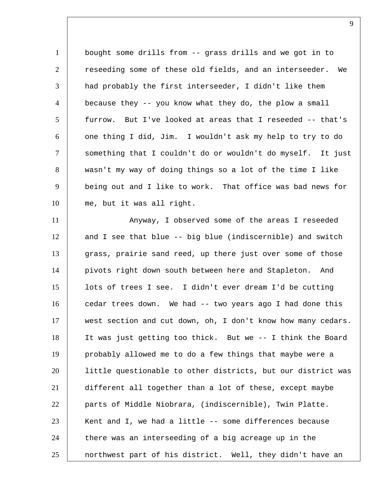1 bought some drills from -- grass drills and we got in to 2 | reseeding some of these old fields, and an interseeder. We had probably the first interseeder, I didn't like them 4 | because they -- you know what they do, the plow a small furrow. But I've looked at areas that I reseeded -- that's one thing I did, Jim. I wouldn't ask my help to try to do something that I couldn't do or wouldn't do myself. It just wasn't my way of doing things so a lot of the time I like being out and I like to work. That office was bad news for me, but it was all right.

11 | Anyway, I observed some of the areas I reseeded 12 and I see that blue -- big blue (indiscernible) and switch 13 grass, prairie sand reed, up there just over some of those pivots right down south between here and Stapleton. And lots of trees I see. I didn't ever dream I'd be cutting cedar trees down. We had -- two years ago I had done this west section and cut down, oh, I don't know how many cedars. It was just getting too thick. But we -- I think the Board probably allowed me to do a few things that maybe were a little questionable to other districts, but our district was different all together than a lot of these, except maybe parts of Middle Niobrara, (indiscernible), Twin Platte. Kent and I, we had a little  $-$ - some differences because 24 there was an interseeding of a big acreage up in the 25 | northwest part of his district. Well, they didn't have an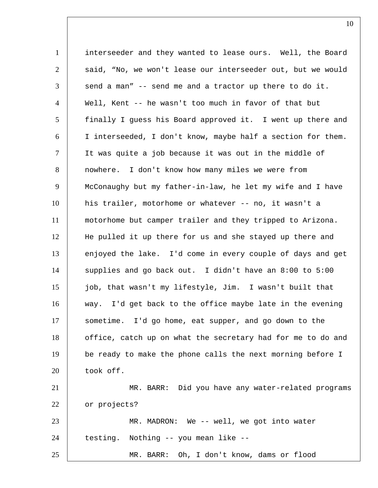interseeder and they wanted to lease ours. Well, the Board 2 said, "No, we won't lease our interseeder out, but we would send a man" -- send me and a tractor up there to do it. Well, Kent -- he wasn't too much in favor of that but 5 | finally I guess his Board approved it. I went up there and I interseeded, I don't know, maybe half a section for them. It was quite a job because it was out in the middle of nowhere. I don't know how many miles we were from 9 McConaughy but my father-in-law, he let my wife and I have his trailer, motorhome or whatever -- no, it wasn't a motorhome but camper trailer and they tripped to Arizona. He pulled it up there for us and she stayed up there and 13 enjoyed the lake. I'd come in every couple of days and get supplies and go back out. I didn't have an 8:00 to 5:00 job, that wasn't my lifestyle, Jim. I wasn't built that way. I'd get back to the office maybe late in the evening sometime. I'd go home, eat supper, and go down to the 18 | office, catch up on what the secretary had for me to do and be ready to make the phone calls the next morning before I took off. MR. BARR: Did you have any water-related programs 22 or projects? MR. MADRON: We -- well, we got into water 24 testing. Nothing -- you mean like --MR. BARR: Oh, I don't know, dams or flood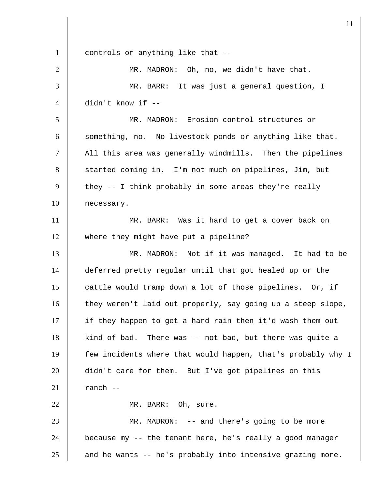1 controls or anything like that -- MR. MADRON: Oh, no, we didn't have that. MR. BARR: It was just a general question, I didn't know if -- MR. MADRON: Erosion control structures or 6 something, no. No livestock ponds or anything like that.  $\parallel$  All this area was generally windmills. Then the pipelines 8 | started coming in. I'm not much on pipelines, Jim, but 9 they  $-$  I think probably in some areas they're really necessary. 11 | MR. BARR: Was it hard to get a cover back on where they might have put a pipeline? MR. MADRON: Not if it was managed. It had to be deferred pretty regular until that got healed up or the cattle would tramp down a lot of those pipelines. Or, if 16 they weren't laid out properly, say going up a steep slope, 17 if they happen to get a hard rain then it'd wash them out 18 | kind of bad. There was -- not bad, but there was quite a few incidents where that would happen, that's probably why I didn't care for them. But I've got pipelines on this ranch  $-$ 22 | MR. BARR: Oh, sure. MR. MADRON: -- and there's going to be more because my -- the tenant here, he's really a good manager and he wants -- he's probably into intensive grazing more.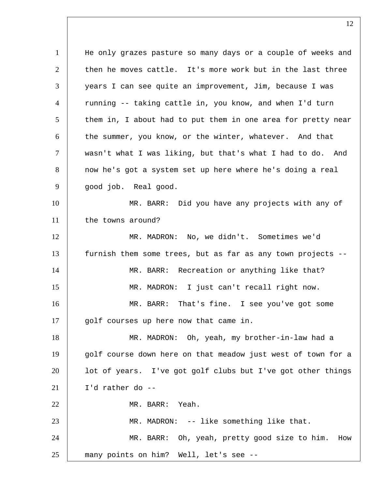1 He only grazes pasture so many days or a couple of weeks and then he moves cattle. It's more work but in the last three years I can see quite an improvement, Jim, because I was 4 | running -- taking cattle in, you know, and when I'd turn them in, I about had to put them in one area for pretty near 6 the summer, you know, or the winter, whatever. And that wasn't what I was liking, but that's what I had to do. And 8 now he's got a system set up here where he's doing a real 9 | qood job. Real good. MR. BARR: Did you have any projects with any of 11 the towns around? MR. MADRON: No, we didn't. Sometimes we'd furnish them some trees, but as far as any town projects -- 14 | MR. BARR: Recreation or anything like that? MR. MADRON: I just can't recall right now. MR. BARR: That's fine. I see you've got some 17 | golf courses up here now that came in. MR. MADRON: Oh, yeah, my brother-in-law had a 19 golf course down here on that meadow just west of town for a lot of years. I've got golf clubs but I've got other things  $I'd$  rather do --22 MR. BARR: Yeah. MR. MADRON: -- like something like that. MR. BARR: Oh, yeah, pretty good size to him. How many points on him? Well, let's see --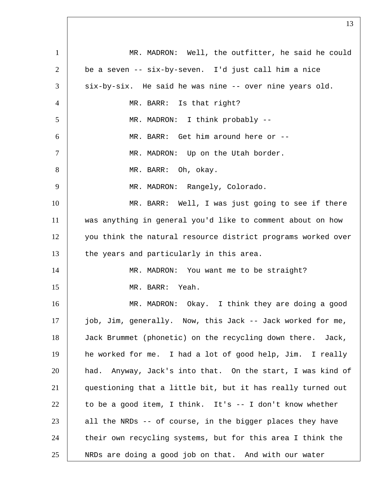1 MR. MADRON: Well, the outfitter, he said he could be a seven -- six-by-seven. I'd just call him a nice six-by-six. He said he was nine -- over nine years old. MR. BARR: Is that right? 5 | MR. MADRON: I think probably -- MR. BARR: Get him around here or -- 7 | MR. MADRON: Up on the Utah border. 8 MR. BARR: Oh, okay. 9 | MR. MADRON: Rangely, Colorado. 10 | MR. BARR: Well, I was just going to see if there was anything in general you'd like to comment about on how you think the natural resource district programs worked over 13 the years and particularly in this area. 14 | MR. MADRON: You want me to be straight? 15 MR. BARR: Yeah. MR. MADRON: Okay. I think they are doing a good job, Jim, generally. Now, this Jack -- Jack worked for me, Jack Brummet (phonetic) on the recycling down there. Jack, he worked for me. I had a lot of good help, Jim. I really had. Anyway, Jack's into that. On the start, I was kind of questioning that a little bit, but it has really turned out to be a good item, I think. It's  $-$  I don't know whether all the NRDs -- of course, in the bigger places they have 24 their own recycling systems, but for this area I think the NRDs are doing a good job on that. And with our water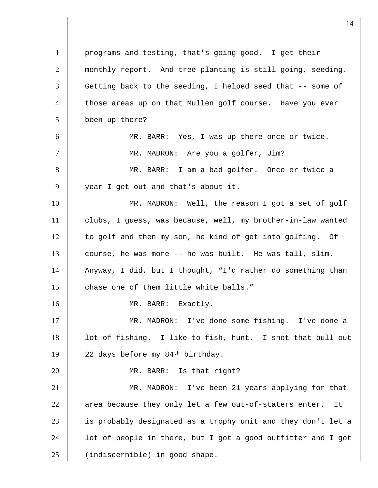programs and testing, that's going good. I get their monthly report. And tree planting is still going, seeding. 3 Getting back to the seeding, I helped seed that -- some of  $\quad$  those areas up on that Mullen golf course. Have you ever been up there? MR. BARR: Yes, I was up there once or twice. 7 | MR. MADRON: Are you a golfer, Jim? MR. BARR: I am a bad golfer. Once or twice a 9 year I get out and that's about it. MR. MADRON: Well, the reason I got a set of golf clubs, I guess, was because, well, my brother-in-law wanted to golf and then my son, he kind of got into golfing. Of course, he was more -- he was built. He was tall, slim. Anyway, I did, but I thought, "I'd rather do something than 15 chase one of them little white balls." 16 MR. BARR: Exactly. MR. MADRON: I've done some fishing. I've done a lot of fishing. I like to fish, hunt. I shot that bull out 19 | 22 days before my 84<sup>th</sup> birthday. 20 MR. BARR: Is that right? MR. MADRON: I've been 21 years applying for that 22 | area because they only let a few out-of-staters enter. It is probably designated as a trophy unit and they don't let a 24 | lot of people in there, but I got a good outfitter and I got (indiscernible) in good shape.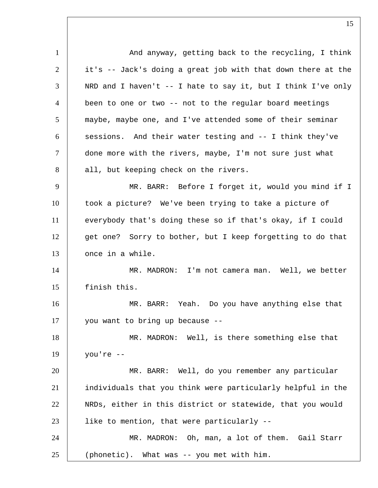1 | And anyway, getting back to the recycling, I think 2 it's -- Jack's doing a great job with that down there at the 3 | NRD and I haven't -- I hate to say it, but I think I've only 4 | been to one or two -- not to the regular board meetings 5 maybe, maybe one, and I've attended some of their seminar  $6$  sessions. And their water testing and  $-1$  think they've 7 done more with the rivers, maybe, I'm not sure just what 8 all, but keeping check on the rivers. 9 MR. BARR: Before I forget it, would you mind if I 10 took a picture? We've been trying to take a picture of 11 everybody that's doing these so if that's okay, if I could 12 get one? Sorry to bother, but I keep forgetting to do that 13 once in a while. 14 | MR. MADRON: I'm not camera man. Well, we better 15 finish this. 16 MR. BARR: Yeah. Do you have anything else that 17 you want to bring up because -- 18 MR. MADRON: Well, is there something else that 19 you're -- 20 MR. BARR: Well, do you remember any particular 21 individuals that you think were particularly helpful in the 22 NRDs, either in this district or statewide, that you would 23 | like to mention, that were particularly --24 MR. MADRON: Oh, man, a lot of them. Gail Starr 25 (phonetic). What was -- you met with him.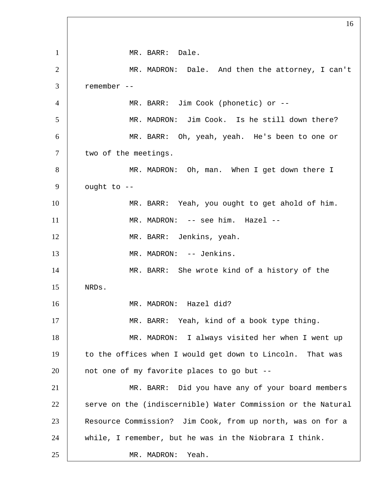1 MR. BARR: Dale. 2 MR. MADRON: Dale. And then the attorney, I can't 3 remember -- 4 MR. BARR: Jim Cook (phonetic) or -- 5 MR. MADRON: Jim Cook. Is he still down there? 6 MR. BARR: Oh, yeah, yeah. He's been to one or 7 | two of the meetings. 8 MR. MADRON: Oh, man. When I get down there I  $9$  ought to  $-$ 10 MR. BARR: Yeah, you ought to get ahold of him. 11 | MR. MADRON: -- see him. Hazel --12 | MR. BARR: Jenkins, yeah. 13 | MR. MADRON: -- Jenkins. 14 | MR. BARR: She wrote kind of a history of the 15 NRDs. 16 | MR. MADRON: Hazel did? 17 MR. BARR: Yeah, kind of a book type thing. 18 MR. MADRON: I always visited her when I went up 19 to the offices when I would get down to Lincoln. That was  $20$  | not one of my favorite places to go but --21 | MR. BARR: Did you have any of your board members 22 serve on the (indiscernible) Water Commission or the Natural 23 Resource Commission? Jim Cook, from up north, was on for a 24 while, I remember, but he was in the Niobrara I think. 25 MR. MADRON: Yeah.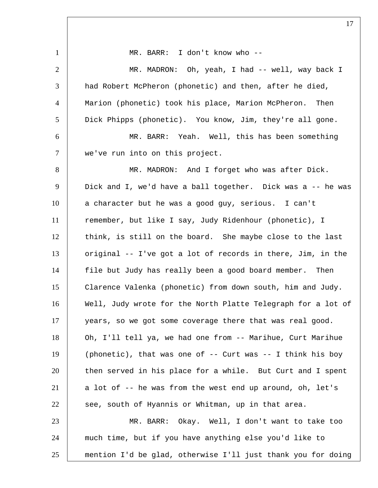1 | MR. BARR: I don't know who --2 | MR. MADRON: Oh, yeah, I had -- well, way back I 3 a had Robert McPheron (phonetic) and then, after he died, 4 | Marion (phonetic) took his place, Marion McPheron. Then 5 Dick Phipps (phonetic). You know, Jim, they're all gone. 6 MR. BARR: Yeah. Well, this has been something 7 | we've run into on this project. 8 | MR. MADRON: And I forget who was after Dick. 9 Dick and I, we'd have a ball together. Dick was a -- he was 10 a character but he was a good guy, serious. I can't 11 remember, but like I say, Judy Ridenhour (phonetic), I 12 think, is still on the board. She maybe close to the last 13 original -- I've got a lot of records in there, Jim, in the 14 file but Judy has really been a good board member. Then 15 Clarence Valenka (phonetic) from down south, him and Judy. 16 Well, Judy wrote for the North Platte Telegraph for a lot of 17 years, so we got some coverage there that was real good. 18 Oh, I'll tell ya, we had one from -- Marihue, Curt Marihue 19 (phonetic), that was one of -- Curt was -- I think his boy 20 then served in his place for a while. But Curt and I spent 21 a lot of -- he was from the west end up around, oh, let's  $22$  see, south of Hyannis or Whitman, up in that area. 23 MR. BARR: Okay. Well, I don't want to take too 24 much time, but if you have anything else you'd like to 25 mention I'd be glad, otherwise I'll just thank you for doing